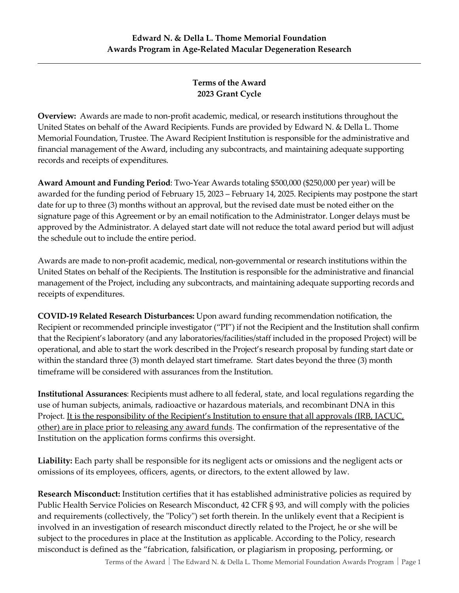## **Terms of the Award 2023 Grant Cycle**

**Overview:** Awards are made to non-profit academic, medical, or research institutions throughout the United States on behalf of the Award Recipients. Funds are provided by Edward N. & Della L. Thome Memorial Foundation, Trustee. The Award Recipient Institution is responsible for the administrative and financial management of the Award, including any subcontracts, and maintaining adequate supporting records and receipts of expenditures.

**Award Amount and Funding Period**: Two-Year Awards totaling \$500,000 (\$250,000 per year) will be awarded for the funding period of February 15, 2023 – February 14, 2025. Recipients may postpone the start date for up to three (3) months without an approval, but the revised date must be noted either on the signature page of this Agreement or by an email notification to the Administrator. Longer delays must be approved by the Administrator. A delayed start date will not reduce the total award period but will adjust the schedule out to include the entire period.

Awards are made to non-profit academic, medical, non-governmental or research institutions within the United States on behalf of the Recipients. The Institution is responsible for the administrative and financial management of the Project, including any subcontracts, and maintaining adequate supporting records and receipts of expenditures.

**COVID-19 Related Research Disturbances:** Upon award funding recommendation notification, the Recipient or recommended principle investigator ("PI") if not the Recipient and the Institution shall confirm that the Recipient's laboratory (and any laboratories/facilities/staff included in the proposed Project) will be operational, and able to start the work described in the Project's research proposal by funding start date or within the standard three (3) month delayed start timeframe. Start dates beyond the three (3) month timeframe will be considered with assurances from the Institution.

**Institutional Assurances**: Recipients must adhere to all federal, state, and local regulations regarding the use of human subjects, animals, radioactive or hazardous materials, and recombinant DNA in this Project. It is the responsibility of the Recipient's Institution to ensure that all approvals (IRB, IACUC, other) are in place prior to releasing any award funds. The confirmation of the representative of the Institution on the application forms confirms this oversight.

**Liability:** Each party shall be responsible for its negligent acts or omissions and the negligent acts or omissions of its employees, officers, agents, or directors, to the extent allowed by law.

**Research Misconduct:** Institution certifies that it has established administrative policies as required by Public Health Service Policies on Research Misconduct, 42 CFR § 93, and will comply with the policies and requirements (collectively, the "Policy") set forth therein. In the unlikely event that a Recipient is involved in an investigation of research misconduct directly related to the Project, he or she will be subject to the procedures in place at the Institution as applicable. According to the Policy, research misconduct is defined as the "fabrication, falsification, or plagiarism in proposing, performing, or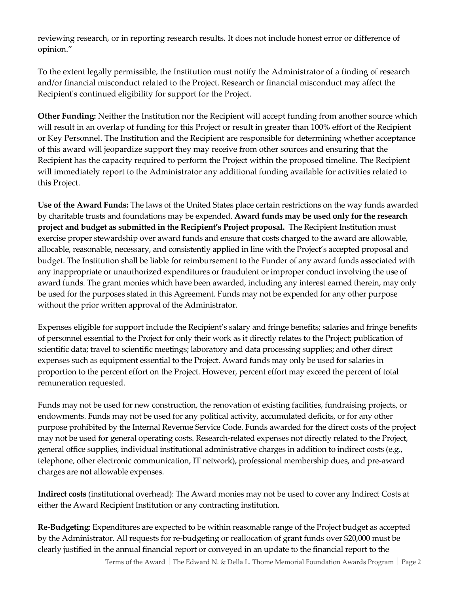reviewing research, or in reporting research results. It does not include honest error or difference of opinion."

To the extent legally permissible, the Institution must notify the Administrator of a finding of research and/or financial misconduct related to the Project. Research or financial misconduct may affect the Recipient's continued eligibility for support for the Project.

**Other Funding:** Neither the Institution nor the Recipient will accept funding from another source which will result in an overlap of funding for this Project or result in greater than 100% effort of the Recipient or Key Personnel. The Institution and the Recipient are responsible for determining whether acceptance of this award will jeopardize support they may receive from other sources and ensuring that the Recipient has the capacity required to perform the Project within the proposed timeline. The Recipient will immediately report to the Administrator any additional funding available for activities related to this Project.

**Use of the Award Funds:** The laws of the United States place certain restrictions on the way funds awarded by charitable trusts and foundations may be expended. **Award funds may be used only for the research project and budget as submitted in the Recipient's Project proposal.** The Recipient Institution must exercise proper stewardship over award funds and ensure that costs charged to the award are allowable, allocable, reasonable, necessary, and consistently applied in line with the Project's accepted proposal and budget. The Institution shall be liable for reimbursement to the Funder of any award funds associated with any inappropriate or unauthorized expenditures or fraudulent or improper conduct involving the use of award funds. The grant monies which have been awarded, including any interest earned therein, may only be used for the purposes stated in this Agreement. Funds may not be expended for any other purpose without the prior written approval of the Administrator.

Expenses eligible for support include the Recipient's salary and fringe benefits; salaries and fringe benefits of personnel essential to the Project for only their work as it directly relates to the Project; publication of scientific data; travel to scientific meetings; laboratory and data processing supplies; and other direct expenses such as equipment essential to the Project. Award funds may only be used for salaries in proportion to the percent effort on the Project. However, percent effort may exceed the percent of total remuneration requested.

Funds may not be used for new construction, the renovation of existing facilities, fundraising projects, or endowments. Funds may not be used for any political activity, accumulated deficits, or for any other purpose prohibited by the Internal Revenue Service Code. Funds awarded for the direct costs of the project may not be used for general operating costs. Research-related expenses not directly related to the Project, general office supplies, individual institutional administrative charges in addition to indirect costs (e.g., telephone, other electronic communication, IT network), professional membership dues, and pre-award charges are **not** allowable expenses.

**Indirect costs** (institutional overhead): The Award monies may not be used to cover any Indirect Costs at either the Award Recipient Institution or any contracting institution.

**Re-Budgeting**: Expenditures are expected to be within reasonable range of the Project budget as accepted by the Administrator. All requests for re-budgeting or reallocation of grant funds over \$20,000 must be clearly justified in the annual financial report or conveyed in an update to the financial report to the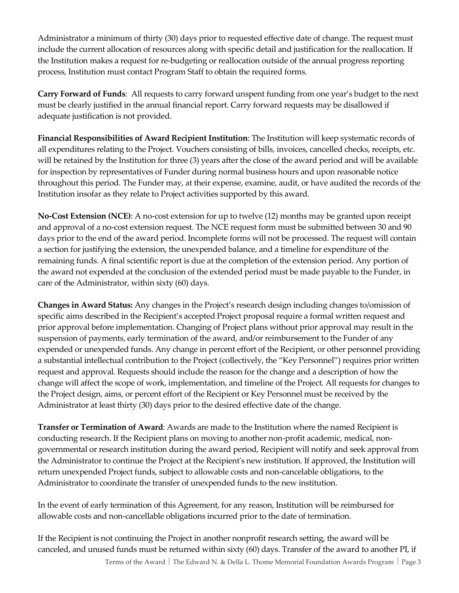Administrator a minimum of thirty (30) days prior to requested effective date of change. The request must include the current allocation of resources along with specific detail and justification for the reallocation. If the Institution makes a request for re-budgeting or reallocation outside of the annual progress reporting process, Institution must contact Program Staff to obtain the required forms.

**Carry Forward of Funds**: All requests to carry forward unspent funding from one year's budget to the next must be clearly justified in the annual financial report. Carry forward requests may be disallowed if adequate justification is not provided.

**Financial Responsibilities of Award Recipient Institution**: The Institution will keep systematic records of all expenditures relating to the Project. Vouchers consisting of bills, invoices, cancelled checks, receipts, etc. will be retained by the Institution for three (3) years after the close of the award period and will be available for inspection by representatives of Funder during normal business hours and upon reasonable notice throughout this period. The Funder may, at their expense, examine, audit, or have audited the records of the Institution insofar as they relate to Project activities supported by this award.

**No-Cost Extension (NCE)**: A no-cost extension for up to twelve (12) months may be granted upon receipt and approval of a no-cost extension request. The NCE request form must be submitted between 30 and 90 days prior to the end of the award period. Incomplete forms will not be processed. The request will contain a section for justifying the extension, the unexpended balance, and a timeline for expenditure of the remaining funds. A final scientific report is due at the completion of the extension period. Any portion of the award not expended at the conclusion of the extended period must be made payable to the Funder, in care of the Administrator, within sixty (60) days.

**Changes in Award Status:** Any changes in the Project's research design including changes to/omission of specific aims described in the Recipient's accepted Project proposal require a formal written request and prior approval before implementation. Changing of Project plans without prior approval may result in the suspension of payments, early termination of the award, and/or reimbursement to the Funder of any expended or unexpended funds. Any change in percent effort of the Recipient, or other personnel providing a substantial intellectual contribution to the Project (collectively, the "Key Personnel") requires prior written request and approval. Requests should include the reason for the change and a description of how the change will affect the scope of work, implementation, and timeline of the Project. All requests for changes to the Project design, aims, or percent effort of the Recipient or Key Personnel must be received by the Administrator at least thirty (30) days prior to the desired effective date of the change.

**Transfer or Termination of Award**: Awards are made to the Institution where the named Recipient is conducting research. If the Recipient plans on moving to another non-profit academic, medical, nongovernmental or research institution during the award period, Recipient will notify and seek approval from the Administrator to continue the Project at the Recipient's new institution. If approved, the Institution will return unexpended Project funds, subject to allowable costs and non-cancelable obligations, to the Administrator to coordinate the transfer of unexpended funds to the new institution.

In the event of early termination of this Agreement, for any reason, Institution will be reimbursed for allowable costs and non-cancellable obligations incurred prior to the date of termination.

If the Recipient is not continuing the Project in another nonprofit research setting, the award will be canceled, and unused funds must be returned within sixty (60) days. Transfer of the award to another PI, if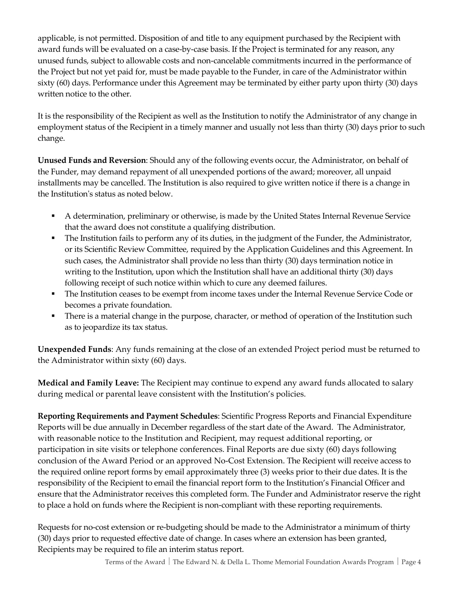applicable, is not permitted. Disposition of and title to any equipment purchased by the Recipient with award funds will be evaluated on a case-by-case basis. If the Project is terminated for any reason, any unused funds, subject to allowable costs and non-cancelable commitments incurred in the performance of the Project but not yet paid for, must be made payable to the Funder, in care of the Administrator within sixty (60) days. Performance under this Agreement may be terminated by either party upon thirty (30) days written notice to the other.

It is the responsibility of the Recipient as well as the Institution to notify the Administrator of any change in employment status of the Recipient in a timely manner and usually not less than thirty (30) days prior to such change.

**Unused Funds and Reversion**: Should any of the following events occur, the Administrator, on behalf of the Funder, may demand repayment of all unexpended portions of the award; moreover, all unpaid installments may be cancelled. The Institution is also required to give written notice if there is a change in the Institution's status as noted below.

- A determination, preliminary or otherwise, is made by the United States Internal Revenue Service that the award does not constitute a qualifying distribution.
- The Institution fails to perform any of its duties, in the judgment of the Funder, the Administrator, or its Scientific Review Committee, required by the Application Guidelines and this Agreement. In such cases, the Administrator shall provide no less than thirty (30) days termination notice in writing to the Institution, upon which the Institution shall have an additional thirty (30) days following receipt of such notice within which to cure any deemed failures.
- The Institution ceases to be exempt from income taxes under the Internal Revenue Service Code or becomes a private foundation.
- **•** There is a material change in the purpose, character, or method of operation of the Institution such as to jeopardize its tax status.

**Unexpended Funds**: Any funds remaining at the close of an extended Project period must be returned to the Administrator within sixty (60) days.

**Medical and Family Leave:** The Recipient may continue to expend any award funds allocated to salary during medical or parental leave consistent with the Institution's policies.

**Reporting Requirements and Payment Schedules**: Scientific Progress Reports and Financial Expenditure Reports will be due annually in December regardless of the start date of the Award. The Administrator, with reasonable notice to the Institution and Recipient, may request additional reporting, or participation in site visits or telephone conferences. Final Reports are due sixty (60) days following conclusion of the Award Period or an approved No-Cost Extension. The Recipient will receive access to the required online report forms by email approximately three (3) weeks prior to their due dates. It is the responsibility of the Recipient to email the financial report form to the Institution's Financial Officer and ensure that the Administrator receives this completed form. The Funder and Administrator reserve the right to place a hold on funds where the Recipient is non-compliant with these reporting requirements.

Requests for no-cost extension or re-budgeting should be made to the Administrator a minimum of thirty (30) days prior to requested effective date of change. In cases where an extension has been granted, Recipients may be required to file an interim status report.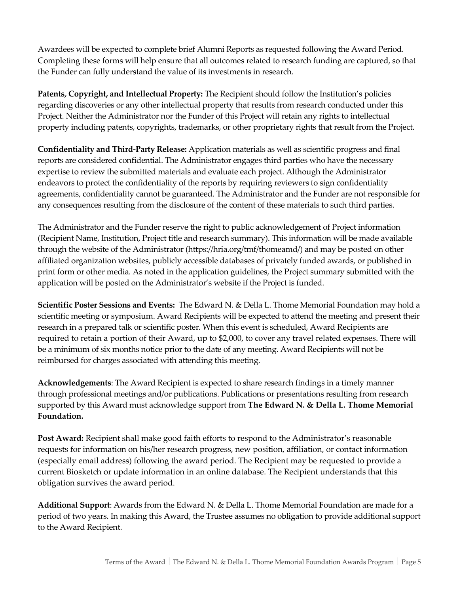Awardees will be expected to complete brief Alumni Reports as requested following the Award Period. Completing these forms will help ensure that all outcomes related to research funding are captured, so that the Funder can fully understand the value of its investments in research.

**Patents, Copyright, and Intellectual Property:** The Recipient should follow the Institution's policies regarding discoveries or any other intellectual property that results from research conducted under this Project. Neither the Administrator nor the Funder of this Project will retain any rights to intellectual property including patents, copyrights, trademarks, or other proprietary rights that result from the Project.

**Confidentiality and Third-Party Release:** Application materials as well as scientific progress and final reports are considered confidential. The Administrator engages third parties who have the necessary expertise to review the submitted materials and evaluate each project. Although the Administrator endeavors to protect the confidentiality of the reports by requiring reviewers to sign confidentiality agreements, confidentiality cannot be guaranteed. The Administrator and the Funder are not responsible for any consequences resulting from the disclosure of the content of these materials to such third parties.

The Administrator and the Funder reserve the right to public acknowledgement of Project information (Recipient Name, Institution, Project title and research summary). This information will be made available through the website of the Administrator (https://hria.org/tmf/thomeamd/) and may be posted on other affiliated organization websites, publicly accessible databases of privately funded awards, or published in print form or other media. As noted in the application guidelines, the Project summary submitted with the application will be posted on the Administrator's website if the Project is funded.

**Scientific Poster Sessions and Events:** The Edward N. & Della L. Thome Memorial Foundation may hold a scientific meeting or symposium. Award Recipients will be expected to attend the meeting and present their research in a prepared talk or scientific poster. When this event is scheduled, Award Recipients are required to retain a portion of their Award, up to \$2,000, to cover any travel related expenses. There will be a minimum of six months notice prior to the date of any meeting. Award Recipients will not be reimbursed for charges associated with attending this meeting.

**Acknowledgements**: The Award Recipient is expected to share research findings in a timely manner through professional meetings and/or publications. Publications or presentations resulting from research supported by this Award must acknowledge support from **The Edward N. & Della L. Thome Memorial Foundation.**

**Post Award:** Recipient shall make good faith efforts to respond to the Administrator's reasonable requests for information on his/her research progress, new position, affiliation, or contact information (especially email address) following the award period. The Recipient may be requested to provide a current Biosketch or update information in an online database. The Recipient understands that this obligation survives the award period.

**Additional Support**: Awards from the Edward N. & Della L. Thome Memorial Foundation are made for a period of two years. In making this Award, the Trustee assumes no obligation to provide additional support to the Award Recipient.